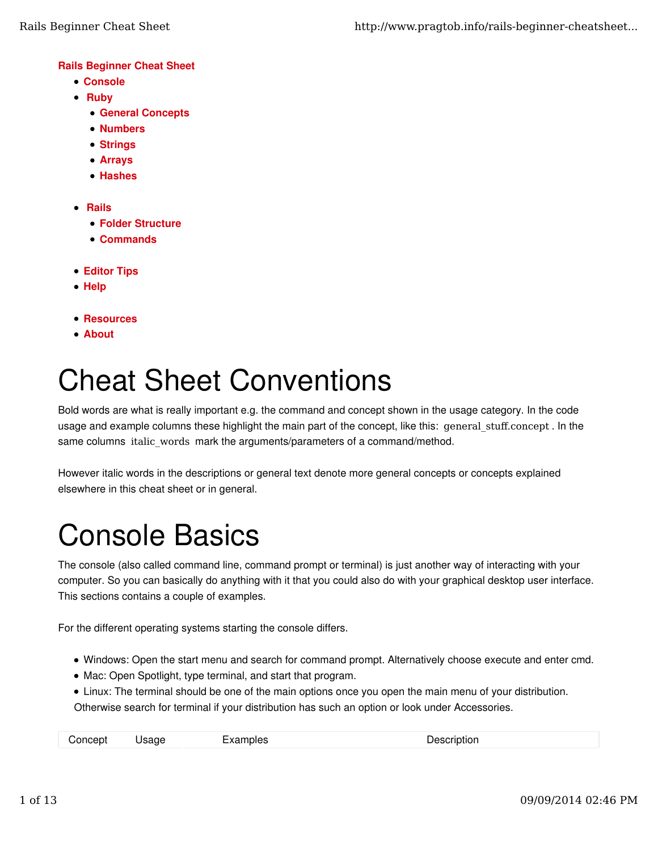#### Rails Beginner Cheat Sheet

- Console
- Ruby
	- General Concepts
	- Numbers
	- Strings
	- Arrays
	- Hashes
- Rails
	- Folder Structure
	- Commands
- Editor Tips
- Help
- Resources
- About

# Cheat Sheet Conventions

Bold words are what is really important e.g. the command and concept shown in the usage category. In the code usage and example columns these highlight the main part of the concept, like this: general\_stuff.concept. In the same columns italic\_words mark the arguments/parameters of a command/method.

However italic words in the descriptions or general text denote more general concepts or concepts explained elsewhere in this cheat sheet or in general.

# Console Basics

The console (also called command line, command prompt or terminal) is just another way of interacting with your computer. So you can basically do anything with it that you could also do with your graphical desktop user interface. This sections contains a couple of examples.

For the different operating systems starting the console differs.

- Windows: Open the start menu and search for command prompt. Alternatively choose execute and enter cmd.
- Mac: Open Spotlight, type terminal, and start that program.
- Linux: The terminal should be one of the main options once you open the main menu of your distribution. Otherwise search for terminal if your distribution has such an option or look under Accessories.

| Concept<br>Description<br>Examples<br>Jsage |  |
|---------------------------------------------|--|
|---------------------------------------------|--|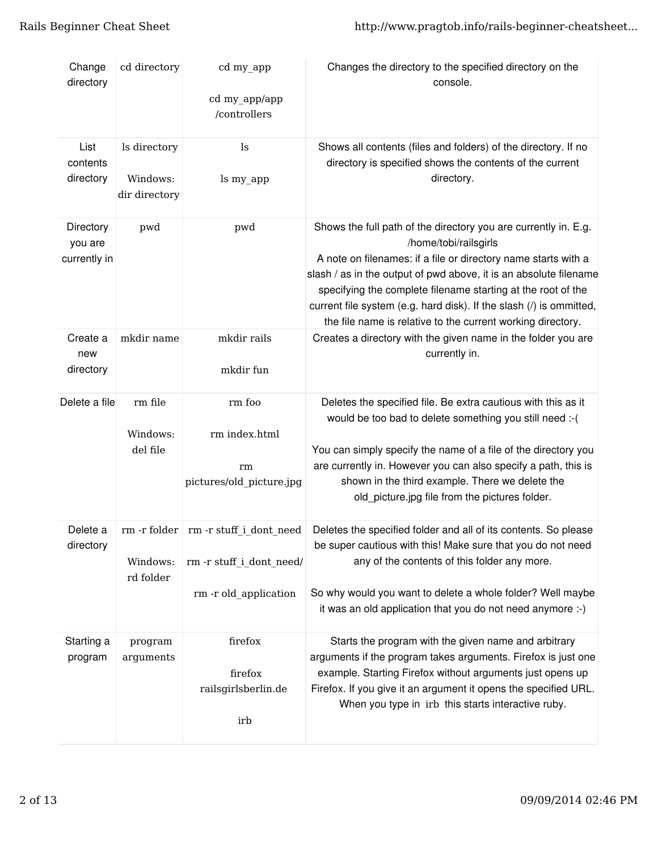| Change<br>directory                  | cd directory                              | cd my_app<br>cd my_app/app<br>/controllers                                                  | Changes the directory to the specified directory on the<br>console.                                                                                                                                                                                                                                                                                                                                                                   |
|--------------------------------------|-------------------------------------------|---------------------------------------------------------------------------------------------|---------------------------------------------------------------------------------------------------------------------------------------------------------------------------------------------------------------------------------------------------------------------------------------------------------------------------------------------------------------------------------------------------------------------------------------|
| List<br>contents<br>directory        | ls directory<br>Windows:<br>dir directory | ls<br>ls my_app                                                                             | Shows all contents (files and folders) of the directory. If no<br>directory is specified shows the contents of the current<br>directory.                                                                                                                                                                                                                                                                                              |
| Directory<br>you are<br>currently in | pwd                                       | pwd                                                                                         | Shows the full path of the directory you are currently in. E.g.<br>/home/tobi/railsgirls<br>A note on filenames: if a file or directory name starts with a<br>slash / as in the output of pwd above, it is an absolute filename<br>specifying the complete filename starting at the root of the<br>current file system (e.g. hard disk). If the slash (/) is ommitted,<br>the file name is relative to the current working directory. |
| Create a<br>new<br>directory         | mkdir name                                | mkdir rails<br>mkdir fun                                                                    | Creates a directory with the given name in the folder you are<br>currently in.                                                                                                                                                                                                                                                                                                                                                        |
| Delete a file                        | rm file<br>Windows:<br>del file           | rm foo<br>rm index.html<br>rm<br>pictures/old_picture.jpg                                   | Deletes the specified file. Be extra cautious with this as it<br>would be too bad to delete something you still need :- (<br>You can simply specify the name of a file of the directory you<br>are currently in. However you can also specify a path, this is<br>shown in the third example. There we delete the<br>old_picture.jpg file from the pictures folder.                                                                    |
| Delete a<br>directory                | Windows:<br>rd folder                     | rm -r folder   rm -r stuff i_dont_need<br>rm -r stuff_i_dont_need/<br>rm -r old application | Deletes the specified folder and all of its contents. So please<br>be super cautious with this! Make sure that you do not need<br>any of the contents of this folder any more.<br>So why would you want to delete a whole folder? Well maybe<br>it was an old application that you do not need anymore :-)                                                                                                                            |
| Starting a<br>program                | program<br>arguments                      | firefox<br>firefox<br>railsgirlsberlin.de<br>irb                                            | Starts the program with the given name and arbitrary<br>arguments if the program takes arguments. Firefox is just one<br>example. Starting Firefox without arguments just opens up<br>Firefox. If you give it an argument it opens the specified URL.<br>When you type in irb this starts interactive ruby.                                                                                                                           |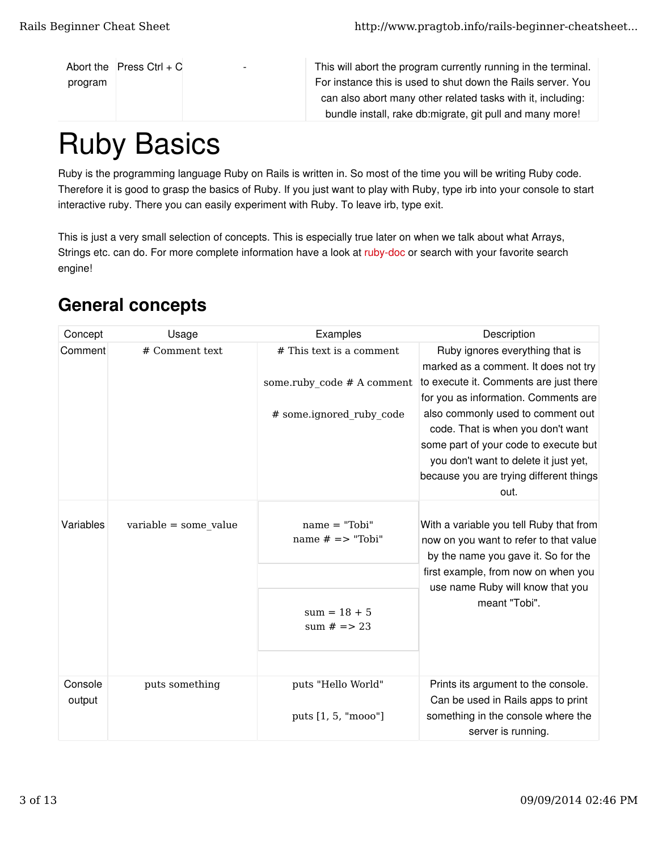```
Abort the Press Ctrl + Cprogram
```
This will abort the program currently running in the terminal. For instance this is used to shut down the Rails server. You can also abort many other related tasks with it, including: bundle install, rake db:migrate, git pull and many more!

# Ruby Basics

Ruby is the programming language Ruby on Rails is written in. So most of the time you will be writing Ruby code. Therefore it is good to grasp the basics of Ruby. If you just want to play with Ruby, type irb into your console to start interactive ruby. There you can easily experiment with Ruby. To leave irb, type exit.

This is just a very small selection of concepts. This is especially true later on when we talk about what Arrays, Strings etc. can do. For more complete information have a look at ruby-doc or search with your favorite search engine!

| Concept           | Usage                   | Examples                                  | Description                                                                                                                                                                                                                                 |
|-------------------|-------------------------|-------------------------------------------|---------------------------------------------------------------------------------------------------------------------------------------------------------------------------------------------------------------------------------------------|
| Comment           | # Comment text          | # This text is a comment                  | Ruby ignores everything that is<br>marked as a comment. It does not try                                                                                                                                                                     |
|                   |                         | some.ruby code # A comment                | to execute it. Comments are just there                                                                                                                                                                                                      |
|                   |                         | # some.ignored ruby code                  | for you as information. Comments are<br>also commonly used to comment out<br>code. That is when you don't want<br>some part of your code to execute but<br>you don't want to delete it just yet,<br>because you are trying different things |
|                   |                         |                                           | out.                                                                                                                                                                                                                                        |
| Variables         | $variable = some_value$ | $name = "Tobi"$<br>name $# ==$ "Tobi"     | With a variable you tell Ruby that from<br>now on you want to refer to that value<br>by the name you gave it. So for the                                                                                                                    |
|                   |                         |                                           | first example, from now on when you                                                                                                                                                                                                         |
|                   |                         | $sum = 18 + 5$<br>sum $# == 23$           | use name Ruby will know that you<br>meant "Tobi".                                                                                                                                                                                           |
|                   |                         |                                           |                                                                                                                                                                                                                                             |
| Console<br>output | puts something          | puts "Hello World"<br>puts [1, 5, "mooo"] | Prints its argument to the console.<br>Can be used in Rails apps to print<br>something in the console where the                                                                                                                             |
|                   |                         |                                           | server is running.                                                                                                                                                                                                                          |

### General concepts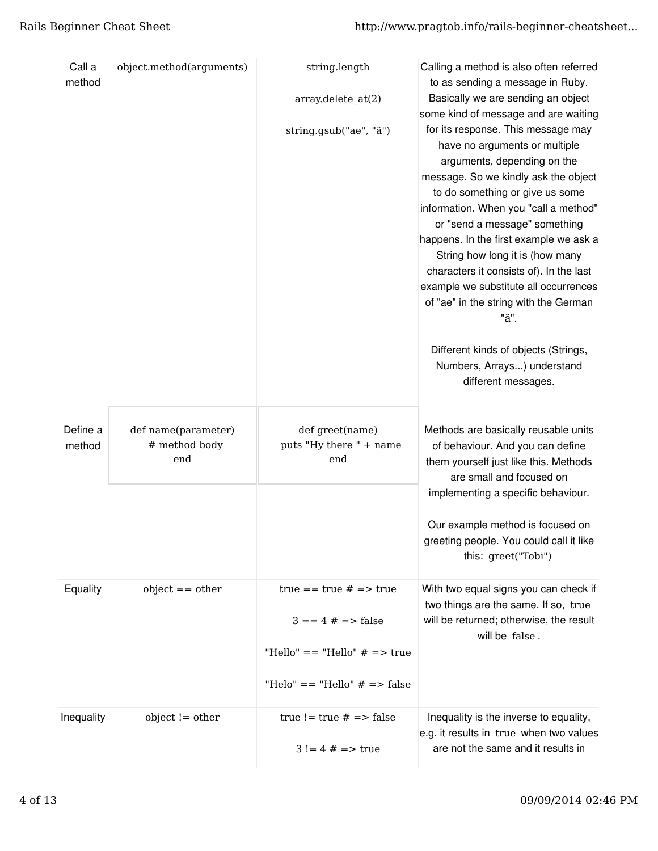| Call a<br>method   | object.method(arguments)                    | string.length<br>array.delete_at(2)<br>string.gsub("ae", "ä")                                                         | Calling a method is also often referred<br>to as sending a message in Ruby.<br>Basically we are sending an object<br>some kind of message and are waiting<br>for its response. This message may<br>have no arguments or multiple<br>arguments, depending on the<br>message. So we kindly ask the object<br>to do something or give us some<br>information. When you "call a method"<br>or "send a message" something<br>happens. In the first example we ask a<br>String how long it is (how many<br>characters it consists of). In the last<br>example we substitute all occurrences<br>of "ae" in the string with the German<br>"ä".<br>Different kinds of objects (Strings,<br>Numbers, Arrays) understand<br>different messages. |
|--------------------|---------------------------------------------|-----------------------------------------------------------------------------------------------------------------------|--------------------------------------------------------------------------------------------------------------------------------------------------------------------------------------------------------------------------------------------------------------------------------------------------------------------------------------------------------------------------------------------------------------------------------------------------------------------------------------------------------------------------------------------------------------------------------------------------------------------------------------------------------------------------------------------------------------------------------------|
| Define a<br>method | def name(parameter)<br># method body<br>end | def greet(name)<br>puts "Hy there " + name<br>end                                                                     | Methods are basically reusable units<br>of behaviour. And you can define<br>them yourself just like this. Methods<br>are small and focused on<br>implementing a specific behaviour.<br>Our example method is focused on<br>greeting people. You could call it like<br>this: greet("Tobi")                                                                                                                                                                                                                                                                                                                                                                                                                                            |
| Equality           | $object == other$                           | true $==$ true $# ==$ true<br>$3 == 4 # => false$<br>"Hello" == "Hello" $#$ => true<br>"Helo" == "Hello" $# ==$ false | With two equal signs you can check if<br>two things are the same. If so, true<br>will be returned; otherwise, the result<br>will be false.                                                                                                                                                                                                                                                                                                                                                                                                                                                                                                                                                                                           |
| Inequality         | $object != other$                           | true != true $# ==$ false<br>$3! = 4 # => true$                                                                       | Inequality is the inverse to equality,<br>e.g. it results in true when two values<br>are not the same and it results in                                                                                                                                                                                                                                                                                                                                                                                                                                                                                                                                                                                                              |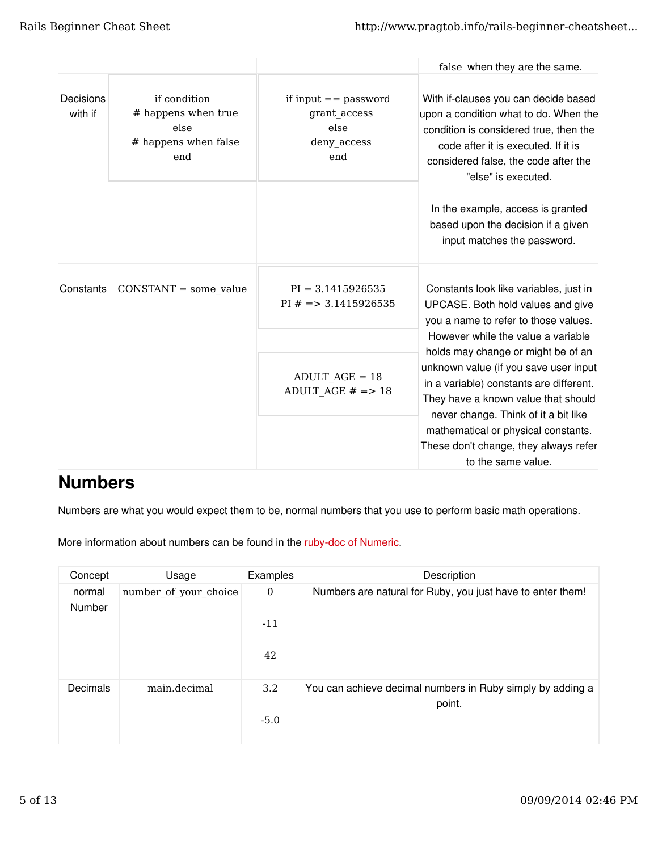|                      |                                                                            |                                                                      | false when they are the same.                                                                                                                                                                                                 |
|----------------------|----------------------------------------------------------------------------|----------------------------------------------------------------------|-------------------------------------------------------------------------------------------------------------------------------------------------------------------------------------------------------------------------------|
| Decisions<br>with if | if condition<br># happens when true<br>else<br># happens when false<br>end | if input $==$ password<br>grant_access<br>else<br>deny access<br>end | With if-clauses you can decide based<br>upon a condition what to do. When the<br>condition is considered true, then the<br>code after it is executed. If it is<br>considered false, the code after the<br>"else" is executed. |
|                      |                                                                            |                                                                      | In the example, access is granted<br>based upon the decision if a given<br>input matches the password.                                                                                                                        |
| Constants            | $CONSTANT = some value$                                                    | $PI = 3.1415926535$<br>PI $# = > 3.1415926535$                       | Constants look like variables, just in<br>UPCASE. Both hold values and give<br>you a name to refer to those values.<br>However while the value a variable                                                                     |
|                      |                                                                            | $ADULT_AGE = 18$<br>ADULT_AGE $# == 18$                              | holds may change or might be of an<br>unknown value (if you save user input<br>in a variable) constants are different.<br>They have a known value that should<br>never change. Think of it a bit like                         |
|                      |                                                                            |                                                                      | mathematical or physical constants.<br>These don't change, they always refer<br>to the same value.                                                                                                                            |

### Numbers

Numbers are what you would expect them to be, normal numbers that you use to perform basic math operations.

More information about numbers can be found in the ruby-doc of Numeric.

| Concept          | Usage                 | Examples         | Description                                                          |
|------------------|-----------------------|------------------|----------------------------------------------------------------------|
| normal<br>Number | number of your choice | $\boldsymbol{0}$ | Numbers are natural for Ruby, you just have to enter them!           |
|                  |                       | $-11$            |                                                                      |
|                  |                       | 42               |                                                                      |
| Decimals         | main.decimal          | 3.2              | You can achieve decimal numbers in Ruby simply by adding a<br>point. |
|                  |                       | $-5.0$           |                                                                      |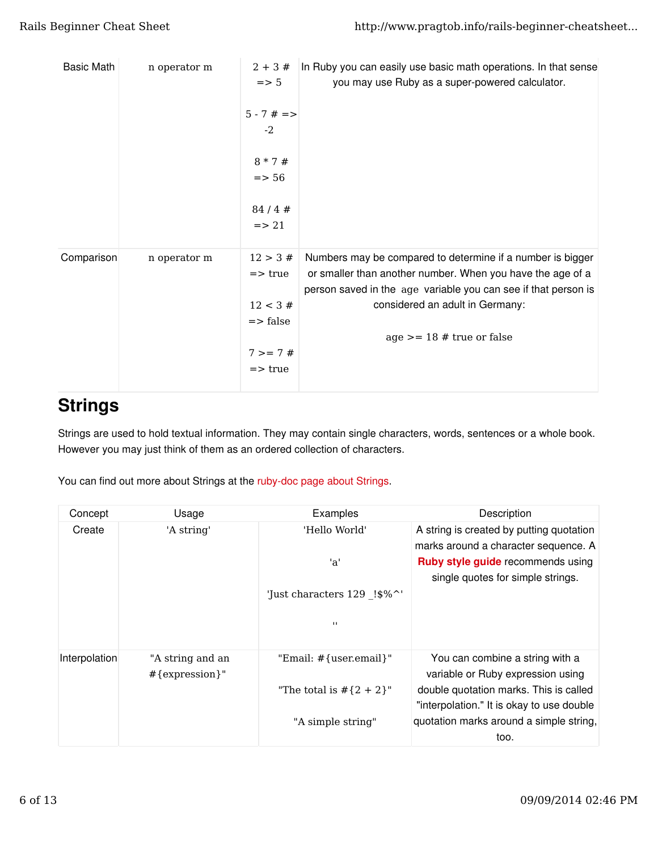| <b>Basic Math</b> | n operator m | $2 + 3#$<br>$\Rightarrow$ 5<br>$5 - 7$ # =><br>$-2$<br>$8 * 7 #$<br>$\Rightarrow$ 56<br>84/4#<br>$\Rightarrow$ 21 | In Ruby you can easily use basic math operations. In that sense<br>you may use Ruby as a super-powered calculator.                                                                                                                                           |
|-------------------|--------------|-------------------------------------------------------------------------------------------------------------------|--------------------------------------------------------------------------------------------------------------------------------------------------------------------------------------------------------------------------------------------------------------|
| Comparison        | n operator m | 12 > 3#<br>$\Rightarrow$ true<br>12 < 3#<br>$\Rightarrow$ false<br>$7 > = 7#$<br>$\Rightarrow$ true               | Numbers may be compared to determine if a number is bigger<br>or smaller than another number. When you have the age of a<br>person saved in the age variable you can see if that person is<br>considered an adult in Germany:<br>$age >= 18 # true or false$ |

### **Strings**

Strings are used to hold textual information. They may contain single characters, words, sentences or a whole book. However you may just think of them as an ordered collection of characters.

You can find out more about Strings at the ruby-doc page about Strings.

| Concept       | Usage                                 | Examples                    | Description                                                                         |
|---------------|---------------------------------------|-----------------------------|-------------------------------------------------------------------------------------|
| Create        | 'A string'                            | 'Hello World'               | A string is created by putting quotation<br>marks around a character sequence. A    |
|               |                                       | 'a'                         | <b>Ruby style guide recommends using</b><br>single quotes for simple strings.       |
|               |                                       | 'Just characters 129 !\$%^' |                                                                                     |
|               |                                       | $\blacksquare$              |                                                                                     |
| Interpolation | "A string and an<br>$#$ {expression}" | "Email: #{user.email}"      | You can combine a string with a<br>variable or Ruby expression using                |
|               |                                       | "The total is $#{2 + 2}$ "  | double quotation marks. This is called<br>"interpolation." It is okay to use double |
|               |                                       | "A simple string"           | quotation marks around a simple string,<br>too.                                     |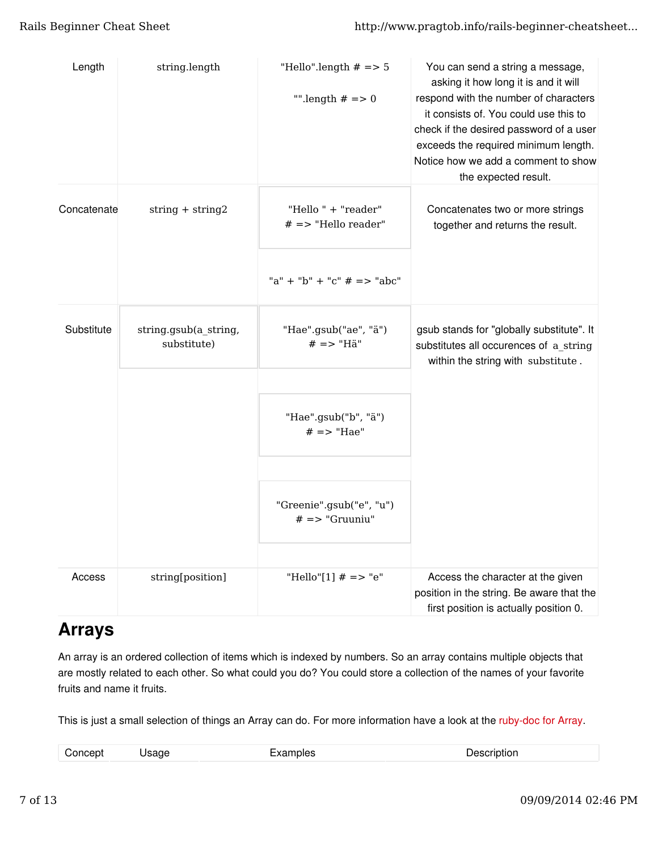| Length      | string.length                        | "Hello".length $# == 5$<br>"".length $# == 0$ | You can send a string a message,<br>asking it how long it is and it will<br>respond with the number of characters<br>it consists of. You could use this to<br>check if the desired password of a user<br>exceeds the required minimum length.<br>Notice how we add a comment to show<br>the expected result. |
|-------------|--------------------------------------|-----------------------------------------------|--------------------------------------------------------------------------------------------------------------------------------------------------------------------------------------------------------------------------------------------------------------------------------------------------------------|
| Concatenate | $string + string2$                   | "Hello " + "reader"<br>$# =&$ "Hello reader"  | Concatenates two or more strings<br>together and returns the result.                                                                                                                                                                                                                                         |
|             |                                      | "a" + "b" + "c" $# ==$ "abc"                  |                                                                                                                                                                                                                                                                                                              |
| Substitute  | string.gsub(a_string,<br>substitute) | "Hae".gsub("ae", "ä")<br>$# == "Hä"$          | gsub stands for "globally substitute". It<br>substitutes all occurences of a_string<br>within the string with substitute.                                                                                                                                                                                    |
|             |                                      | "Hae".gsub("b", "ä")<br>$# == "Hae"$          |                                                                                                                                                                                                                                                                                                              |
|             |                                      | "Greenie".gsub("e", "u")<br>$# == "Gruuniu"$  |                                                                                                                                                                                                                                                                                                              |
| Access      | string[position]                     | "Hello"[1] $# == "e"$                         | Access the character at the given<br>position in the string. Be aware that the<br>first position is actually position 0.                                                                                                                                                                                     |

### Arrays

An array is an ordered collection of items which is indexed by numbers. So an array contains multiple objects that are mostly related to each other. So what could you do? You could store a collection of the names of your favorite fruits and name it fruits.

This is just a small selection of things an Array can do. For more information have a look at the ruby-doc for Array.

| $C$ cnoch <sup>+</sup> | . | المستوا المستحدث والأنا<br>' ! ⊔ : не… | Coorintion |
|------------------------|---|----------------------------------------|------------|
|                        |   |                                        | _______    |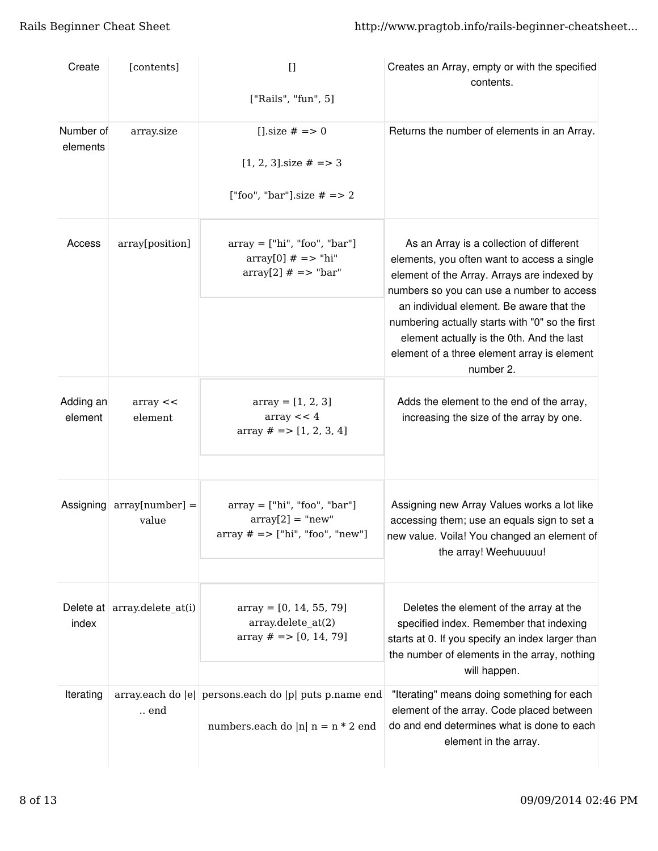| Create                | [contents]                                      | $[$<br>["Rails", "fun", 5]                                                                   | Creates an Array, empty or with the specified<br>contents.                                                                                                                                                                                                                                                                                                                                  |
|-----------------------|-------------------------------------------------|----------------------------------------------------------------------------------------------|---------------------------------------------------------------------------------------------------------------------------------------------------------------------------------------------------------------------------------------------------------------------------------------------------------------------------------------------------------------------------------------------|
| Number of<br>elements | array.size                                      | [] size $# == 0$<br>$[1, 2, 3]$ size $# == 3$<br>["foo", "bar"].size $# == 2$                | Returns the number of elements in an Array.                                                                                                                                                                                                                                                                                                                                                 |
| Access                | array[position]                                 | $array = ['hi", 'foo", 'bar']$<br>$array[0]$ # => "hi"<br>$array[2]$ # => "bar"              | As an Array is a collection of different<br>elements, you often want to access a single<br>element of the Array. Arrays are indexed by<br>numbers so you can use a number to access<br>an individual element. Be aware that the<br>numbering actually starts with "0" so the first<br>element actually is the 0th. And the last<br>element of a three element array is element<br>number 2. |
| Adding an<br>element  | array <<br>element                              | $array = [1, 2, 3]$<br>array < 4<br>array $# == [1, 2, 3, 4]$                                | Adds the element to the end of the array,<br>increasing the size of the array by one.                                                                                                                                                                                                                                                                                                       |
|                       | Assigning $\arctan\{\text{number}\}$ =<br>value | $array = ['hi", "foo", "bar"]$<br>$array[2] = "new"$<br>$array # => ['hi", "foo", "new"]$    | Assigning new Array Values works a lot like<br>accessing them; use an equals sign to set a<br>new value. Voila! You changed an element of<br>the array! Weehuuuuu!                                                                                                                                                                                                                          |
| index                 | Delete at array.delete_at(i)                    | $array = [0, 14, 55, 79]$<br>array.delete_at(2)<br>array $# == [0, 14, 79]$                  | Deletes the element of the array at the<br>specified index. Remember that indexing<br>starts at 0. If you specify an index larger than<br>the number of elements in the array, nothing<br>will happen.                                                                                                                                                                                      |
| Iterating             | $\ldots$ end                                    | array.each do  e  persons.each do  p  puts p.name end<br>numbers.each do  n  n = $n * 2$ end | "Iterating" means doing something for each<br>element of the array. Code placed between<br>do and end determines what is done to each<br>element in the array.                                                                                                                                                                                                                              |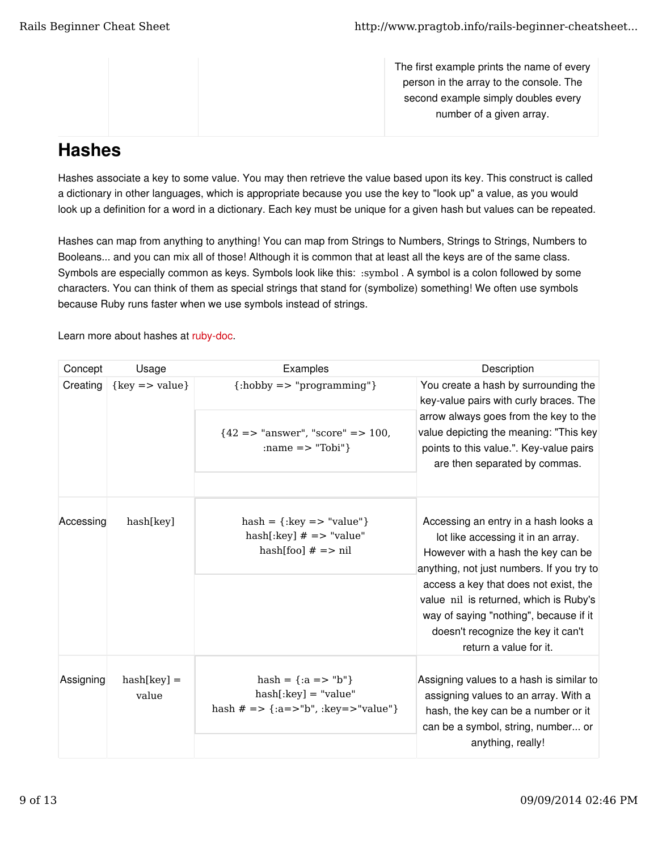The first example prints the name of every person in the array to the console. The second example simply doubles every number of a given array.

### **Hashes**

Hashes associate a key to some value. You may then retrieve the value based upon its key. This construct is called a dictionary in other languages, which is appropriate because you use the key to "look up" a value, as you would look up a definition for a word in a dictionary. Each key must be unique for a given hash but values can be repeated.

Hashes can map from anything to anything! You can map from Strings to Numbers, Strings to Strings, Numbers to Booleans... and you can mix all of those! Although it is common that at least all the keys are of the same class. Symbols are especially common as keys. Symbols look like this: :symbol . A symbol is a colon followed by some characters. You can think of them as special strings that stand for (symbolize) something! We often use symbols because Ruby runs faster when we use symbols instead of strings.

Learn more about hashes at ruby-doc.

| Concept   | Usage                       | Examples                                                                                   | Description                                                                                                                                                                                                                                                                                                                      |
|-----------|-----------------------------|--------------------------------------------------------------------------------------------|----------------------------------------------------------------------------------------------------------------------------------------------------------------------------------------------------------------------------------------------------------------------------------------------------------------------------------|
| Creating  | $\{key \Rightarrow value\}$ | $\{\: ;\text{hobby} \: = \: > \: \text{"programming"}\}$                                   | You create a hash by surrounding the<br>key-value pairs with curly braces. The                                                                                                                                                                                                                                                   |
|           |                             | ${42 \Rightarrow$ "answer", "score" => 100,<br>: name $\mathsf{R}$ = $\mathsf{R}$ "Tobi" } | arrow always goes from the key to the<br>value depicting the meaning: "This key<br>points to this value.". Key-value pairs<br>are then separated by commas.                                                                                                                                                                      |
| Accessing | hash[key]                   | $hash = \{: key == "value"\}$<br>$hash[:key]$ # => "value"<br>$hash[foo]$ # => nil         | Accessing an entry in a hash looks a<br>lot like accessing it in an array.<br>However with a hash the key can be<br>anything, not just numbers. If you try to<br>access a key that does not exist, the<br>value nil is returned, which is Ruby's<br>way of saying "nothing", because if it<br>doesn't recognize the key it can't |
|           |                             |                                                                                            | return a value for it.                                                                                                                                                                                                                                                                                                           |
| Assigning | $hash(key] =$<br>value      | $hash = \{ :a => "b" \}$<br>$hash[:key] = "value"$<br>hash $# ==$ {:a=>"b", :key=>"value"} | Assigning values to a hash is similar to<br>assigning values to an array. With a<br>hash, the key can be a number or it<br>can be a symbol, string, number or<br>anything, really!                                                                                                                                               |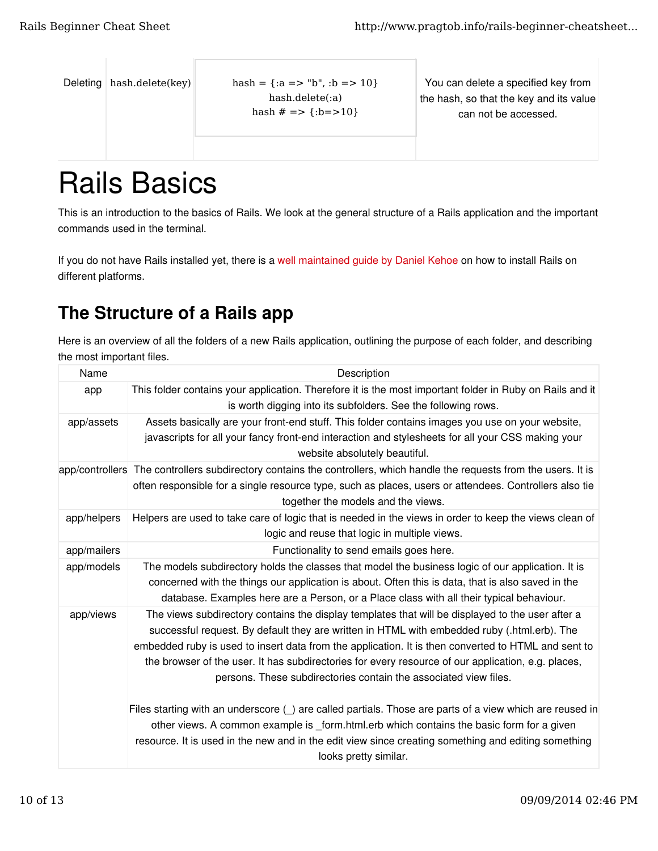|  | Deleting hash.delete(key) |
|--|---------------------------|
|--|---------------------------|

 $hash = \{ :a => "b", :b => 10\}$ hash.delete(:a) hash  $# =>$  {:b=>10}

You can delete a specified key from the hash, so that the key and its value can not be accessed.

# Rails Basics

This is an introduction to the basics of Rails. We look at the general structure of a Rails application and the important commands used in the terminal.

If you do not have Rails installed yet, there is a well maintained guide by Daniel Kehoe on how to install Rails on different platforms.

### The Structure of a Rails app

Here is an overview of all the folders of a new Rails application, outlining the purpose of each folder, and describing the most important files.

| Name        | Description                                                                                                                                                                                                                                                                                                                                                                                                                                                                      |
|-------------|----------------------------------------------------------------------------------------------------------------------------------------------------------------------------------------------------------------------------------------------------------------------------------------------------------------------------------------------------------------------------------------------------------------------------------------------------------------------------------|
| app         | This folder contains your application. Therefore it is the most important folder in Ruby on Rails and it<br>is worth digging into its subfolders. See the following rows.                                                                                                                                                                                                                                                                                                        |
| app/assets  | Assets basically are your front-end stuff. This folder contains images you use on your website,<br>javascripts for all your fancy front-end interaction and stylesheets for all your CSS making your<br>website absolutely beautiful.                                                                                                                                                                                                                                            |
|             | app/controllers The controllers subdirectory contains the controllers, which handle the requests from the users. It is<br>often responsible for a single resource type, such as places, users or attendees. Controllers also tie<br>together the models and the views.                                                                                                                                                                                                           |
| app/helpers | Helpers are used to take care of logic that is needed in the views in order to keep the views clean of<br>logic and reuse that logic in multiple views.                                                                                                                                                                                                                                                                                                                          |
| app/mailers | Functionality to send emails goes here.                                                                                                                                                                                                                                                                                                                                                                                                                                          |
| app/models  | The models subdirectory holds the classes that model the business logic of our application. It is<br>concerned with the things our application is about. Often this is data, that is also saved in the<br>database. Examples here are a Person, or a Place class with all their typical behaviour.                                                                                                                                                                               |
| app/views   | The views subdirectory contains the display templates that will be displayed to the user after a<br>successful request. By default they are written in HTML with embedded ruby (.html.erb). The<br>embedded ruby is used to insert data from the application. It is then converted to HTML and sent to<br>the browser of the user. It has subdirectories for every resource of our application, e.g. places,<br>persons. These subdirectories contain the associated view files. |
|             | Files starting with an underscore () are called partials. Those are parts of a view which are reused in<br>other views. A common example is form.html.erb which contains the basic form for a given<br>resource. It is used in the new and in the edit view since creating something and editing something<br>looks pretty similar.                                                                                                                                              |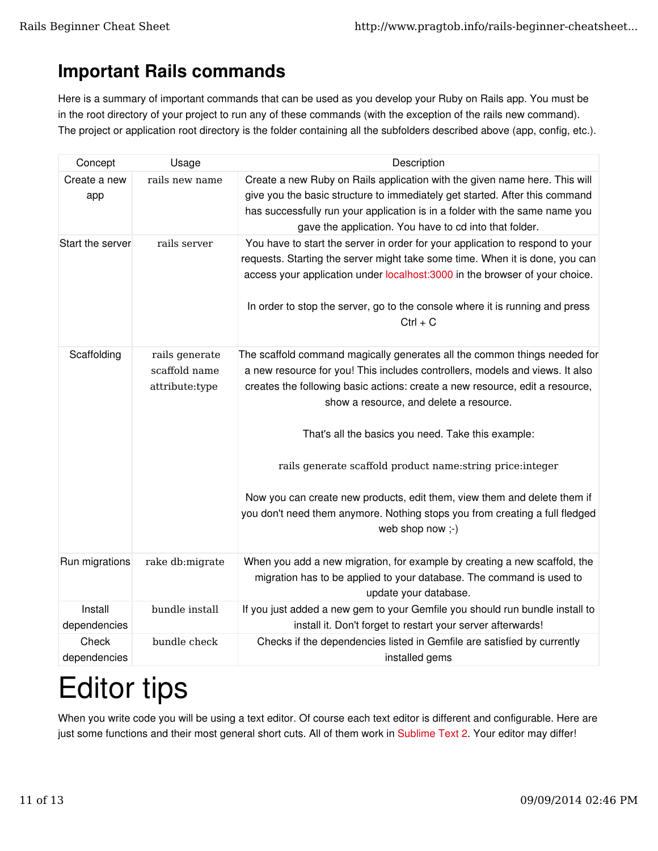## Important Rails commands

Here is a summary of important commands that can be used as you develop your Ruby on Rails app. You must be in the root directory of your project to run any of these commands (with the exception of the rails new command). The project or application root directory is the folder containing all the subfolders described above (app, config, etc.).

| Concept               | Usage                                             | Description                                                                                                                                                                                                                                                                                                                                                                                                                                                                                                                                                                              |
|-----------------------|---------------------------------------------------|------------------------------------------------------------------------------------------------------------------------------------------------------------------------------------------------------------------------------------------------------------------------------------------------------------------------------------------------------------------------------------------------------------------------------------------------------------------------------------------------------------------------------------------------------------------------------------------|
| Create a new<br>app   | rails new name                                    | Create a new Ruby on Rails application with the given name here. This will<br>give you the basic structure to immediately get started. After this command<br>has successfully run your application is in a folder with the same name you<br>gave the application. You have to cd into that folder.                                                                                                                                                                                                                                                                                       |
| Start the server      | rails server                                      | You have to start the server in order for your application to respond to your<br>requests. Starting the server might take some time. When it is done, you can<br>access your application under localhost:3000 in the browser of your choice.<br>In order to stop the server, go to the console where it is running and press<br>$Ctrl + C$                                                                                                                                                                                                                                               |
| Scaffolding           | rails generate<br>scaffold name<br>attribute:type | The scaffold command magically generates all the common things needed for<br>a new resource for you! This includes controllers, models and views. It also<br>creates the following basic actions: create a new resource, edit a resource,<br>show a resource, and delete a resource.<br>That's all the basics you need. Take this example:<br>rails generate scaffold product name: string price: integer<br>Now you can create new products, edit them, view them and delete them if<br>you don't need them anymore. Nothing stops you from creating a full fledged<br>web shop now ;-) |
| Run migrations        | rake db:migrate                                   | When you add a new migration, for example by creating a new scaffold, the<br>migration has to be applied to your database. The command is used to<br>update your database.                                                                                                                                                                                                                                                                                                                                                                                                               |
| Install               | bundle install                                    | If you just added a new gem to your Gemfile you should run bundle install to                                                                                                                                                                                                                                                                                                                                                                                                                                                                                                             |
| dependencies          |                                                   | install it. Don't forget to restart your server afterwards!                                                                                                                                                                                                                                                                                                                                                                                                                                                                                                                              |
| Check<br>dependencies | bundle check                                      | Checks if the dependencies listed in Gemfile are satisfied by currently<br>installed gems                                                                                                                                                                                                                                                                                                                                                                                                                                                                                                |

# Editor tips

When you write code you will be using a text editor. Of course each text editor is different and configurable. Here are just some functions and their most general short cuts. All of them work in Sublime Text 2. Your editor may differ!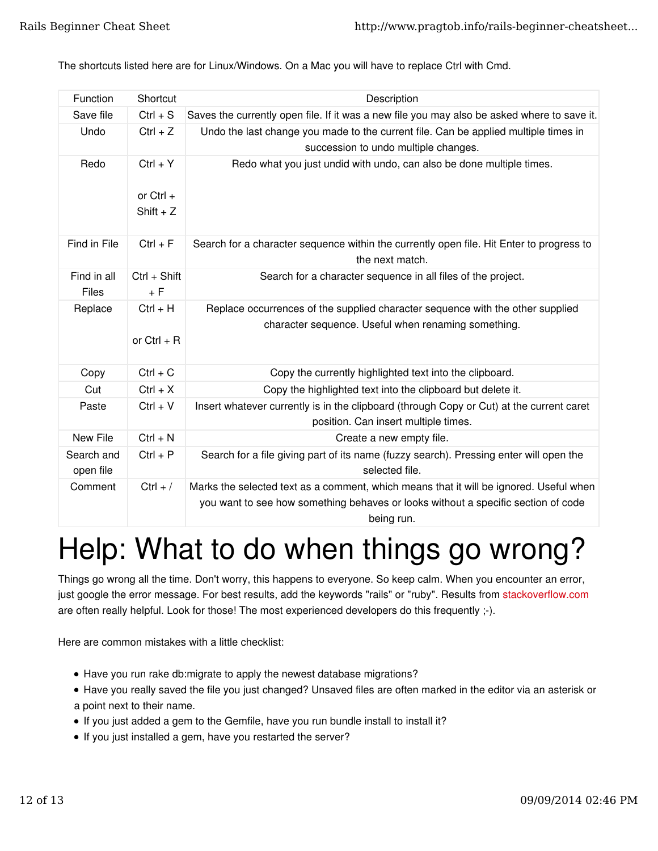The shortcuts listed here are for Linux/Windows. On a Mac you will have to replace Ctrl with Cmd.

| Function                | Shortcut                                 | Description                                                                                                                                                                 |
|-------------------------|------------------------------------------|-----------------------------------------------------------------------------------------------------------------------------------------------------------------------------|
| Save file               | $Ctrl + S$                               | Saves the currently open file. If it was a new file you may also be asked where to save it.                                                                                 |
| Undo                    | $Ctrl + Z$                               | Undo the last change you made to the current file. Can be applied multiple times in<br>succession to undo multiple changes.                                                 |
| Redo                    | $Ctrl + Y$<br>or Ctrl $+$<br>$Shift + Z$ | Redo what you just undid with undo, can also be done multiple times.                                                                                                        |
| Find in File            | $Ctrl + F$                               | Search for a character sequence within the currently open file. Hit Enter to progress to<br>the next match.                                                                 |
| Find in all<br>Files    | Ctrl + Shift<br>$+ F$                    | Search for a character sequence in all files of the project.                                                                                                                |
| Replace                 | $Ctrl + H$<br>or $Ctrl + R$              | Replace occurrences of the supplied character sequence with the other supplied<br>character sequence. Useful when renaming something.                                       |
| Copy                    | $Ctrl + C$                               | Copy the currently highlighted text into the clipboard.                                                                                                                     |
| Cut                     | $Ctrl + X$                               | Copy the highlighted text into the clipboard but delete it.                                                                                                                 |
| Paste                   | $Ctrl + V$                               | Insert whatever currently is in the clipboard (through Copy or Cut) at the current caret<br>position. Can insert multiple times.                                            |
| New File                | $Ctrl + N$                               | Create a new empty file.                                                                                                                                                    |
| Search and<br>open file | $Ctrl + P$                               | Search for a file giving part of its name (fuzzy search). Pressing enter will open the<br>selected file.                                                                    |
| Comment                 | $Ctrl + /$                               | Marks the selected text as a comment, which means that it will be ignored. Useful when<br>you want to see how something behaves or looks without a specific section of code |

being run.

# Help: What to do when things go wrong?

Things go wrong all the time. Don't worry, this happens to everyone. So keep calm. When you encounter an error, just google the error message. For best results, add the keywords "rails" or "ruby". Results from stackoverflow.com are often really helpful. Look for those! The most experienced developers do this frequently ;-).

Here are common mistakes with a little checklist:

- Have you run rake db:migrate to apply the newest database migrations?
- Have you really saved the file you just changed? Unsaved files are often marked in the editor via an asterisk or a point next to their name.
- If you just added a gem to the Gemfile, have you run bundle install to install it?
- If you just installed a gem, have you restarted the server?